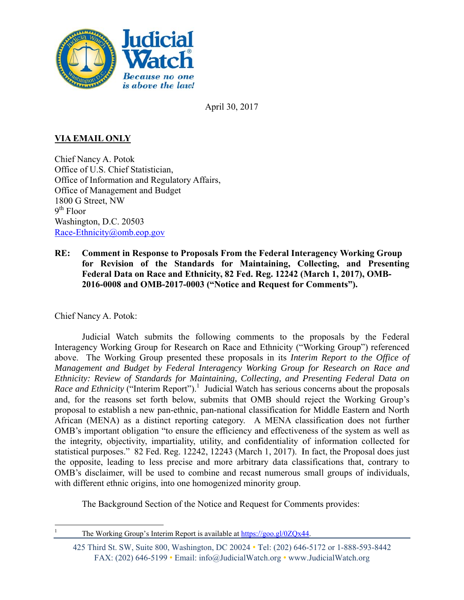

April 30, 2017

## **VIA EMAIL ONLY**

Chief Nancy A. Potok Office of U.S. Chief Statistician, Office of Information and Regulatory Affairs. Office of Management and Budget 1800 G Street, NW  $9<sup>th</sup>$  Floor Washington, D.C. 20503 Race-Ethnicity@omb.eop.gov

**Comment in Response to Proposals From the Federal Interagency Working Group**  $RE:$ for Revision of the Standards for Maintaining, Collecting, and Presenting Federal Data on Race and Ethnicity, 82 Fed. Reg. 12242 (March 1, 2017), OMB-2016-0008 and OMB-2017-0003 ("Notice and Request for Comments").

Chief Nancy A. Potok:

Judicial Watch submits the following comments to the proposals by the Federal Interagency Working Group for Research on Race and Ethnicity ("Working Group") referenced above. The Working Group presented these proposals in its Interim Report to the Office of Management and Budget by Federal Interagency Working Group for Research on Race and Ethnicity: Review of Standards for Maintaining, Collecting, and Presenting Federal Data on *Race and Ethnicity* ("Interim Report").<sup>1</sup> Judicial Watch has serious concerns about the proposals and, for the reasons set forth below, submits that OMB should reject the Working Group's proposal to establish a new pan-ethnic, pan-national classification for Middle Eastern and North African (MENA) as a distinct reporting category. A MENA classification does not further OMB's important obligation "to ensure the efficiency and effectiveness of the system as well as the integrity, objectivity, impartiality, utility, and confidentiality of information collected for statistical purposes." 82 Fed. Reg. 12242, 12243 (March 1, 2017). In fact, the Proposal does just the opposite, leading to less precise and more arbitrary data classifications that, contrary to OMB's disclaimer, will be used to combine and recast numerous small groups of individuals, with different ethnic origins, into one homogenized minority group.

The Background Section of the Notice and Request for Comments provides:

 $\mathbf{1}$ 

The Working Group's Interim Report is available at https://goo.gl/0ZQx44.

<sup>425</sup> Third St. SW, Suite 800, Washington, DC 20024 • Tel: (202) 646-5172 or 1-888-593-8442 FAX: (202) 646-5199 • Email: info@JudicialWatch.org • www.JudicialWatch.org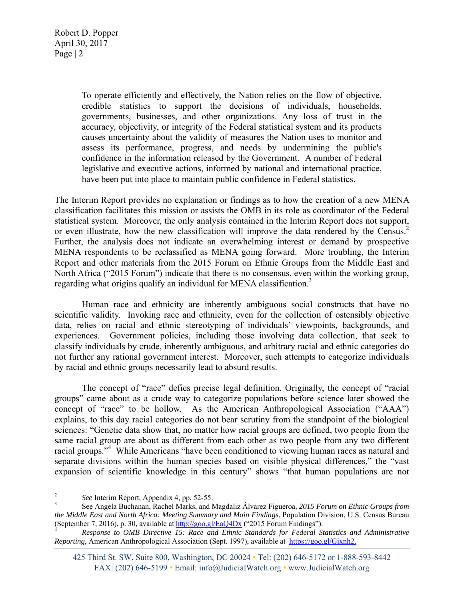> To operate efficiently and effectively, the Nation relies on the flow of objective, credible statistics to support the decisions of individuals, households, governments, businesses, and other organizations. Any loss of trust in the accuracy, objectivity, or integrity of the Federal statistical system and its products causes uncertainty about the validity of measures the Nation uses to monitor and assess its performance, progress, and needs by undermining the public's confidence in the information released by the Government. A number of Federal legislative and executive actions, informed by national and international practice, have been put into place to maintain public confidence in Federal statistics.

The Interim Report provides no explanation or findings as to how the creation of a new MENA classification facilitates this mission or assists the OMB in its role as coordinator of the Federal statistical system. Moreover, the only analysis contained in the Interim Report does not support, or even illustrate, how the new classification will improve the data rendered by the Census.<sup>2</sup> Further, the analysis does not indicate an overwhelming interest or demand by prospective MENA respondents to be reclassified as MENA going forward. More troubling, the Interim Report and other materials from the 2015 Forum on Ethnic Groups from the Middle East and North Africa ("2015 Forum") indicate that there is no consensus, even within the working group, regarding what origins qualify an individual for MENA classification.<sup>3</sup>

 Human race and ethnicity are inherently ambiguous social constructs that have no scientific validity. Invoking race and ethnicity, even for the collection of ostensibly objective data, relies on racial and ethnic stereotyping of individuals' viewpoints, backgrounds, and experiences. Government policies, including those involving data collection, that seek to classify individuals by crude, inherently ambiguous, and arbitrary racial and ethnic categories do not further any rational government interest. Moreover, such attempts to categorize individuals by racial and ethnic groups necessarily lead to absurd results.

 The concept of "race" defies precise legal definition. Originally, the concept of "racial groups" came about as a crude way to categorize populations before science later showed the concept of "race" to be hollow. As the American Anthropological Association ("AAA") explains, to this day racial categories do not bear scrutiny from the standpoint of the biological sciences: "Genetic data show that, no matter how racial groups are defined, two people from the same racial group are about as different from each other as two people from any two different racial groups."<sup>4</sup> While Americans "have been conditioned to viewing human races as natural and separate divisions within the human species based on visible physical differences," the "vast expansion of scientific knowledge in this century" shows "that human populations are not

<sup>2</sup> *See* Interim Report, Appendix 4, pp. 52-55.

<sup>3</sup> See Angela Buchanan, Rachel Marks, and Magdaliz Álvarez Figueroa, *2015 Forum on Ethnic Groups from the Middle East and North Africa: Meeting Summary and Main Findings*, Population Division, U.S. Census Bureau (September 7, 2016), p. 30, available at  $\frac{http://geo.g/EqQ4Dx}{http://geo.g/EqQ4Dx}$  ("2015 Forum Findings").

*Response to OMB Directive 15: Race and Ethnic Standards for Federal Statistics and Administrative Reporting*, American Anthropological Association (Sept. 1997), available at https://goo.gl/Gixnh2.

<sup>425</sup> Third St. SW, Suite 800, Washington, DC 20024 • Tel: (202) 646-5172 or 1-888-593-8442 FAX: (202) 646-5199 • Email: info@JudicialWatch.org • www.JudicialWatch.org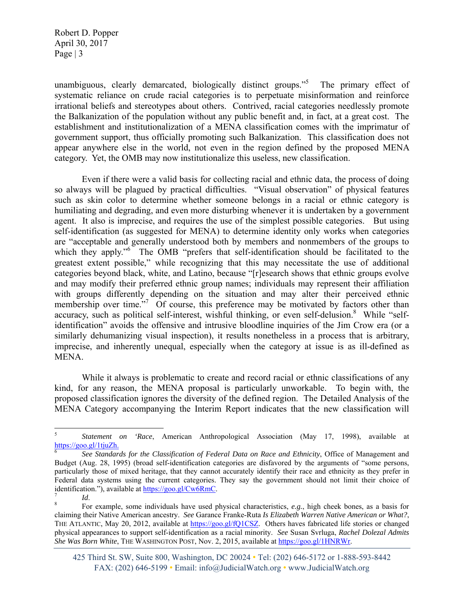unambiguous, clearly demarcated, biologically distinct groups."<sup>5</sup> The primary effect of systematic reliance on crude racial categories is to perpetuate misinformation and reinforce irrational beliefs and stereotypes about others. Contrived, racial categories needlessly promote the Balkanization of the population without any public benefit and, in fact, at a great cost. The establishment and institutionalization of a MENA classification comes with the imprimatur of government support, thus officially promoting such Balkanization. This classification does not appear anywhere else in the world, not even in the region defined by the proposed MENA category. Yet, the OMB may now institutionalize this useless, new classification.

 Even if there were a valid basis for collecting racial and ethnic data, the process of doing so always will be plagued by practical difficulties. "Visual observation" of physical features such as skin color to determine whether someone belongs in a racial or ethnic category is humiliating and degrading, and even more disturbing whenever it is undertaken by a government agent. It also is imprecise, and requires the use of the simplest possible categories. But using self-identification (as suggested for MENA) to determine identity only works when categories are "acceptable and generally understood both by members and nonmembers of the groups to which they apply."<sup>6</sup> The OMB "prefers that self-identification should be facilitated to the greatest extent possible," while recognizing that this may necessitate the use of additional categories beyond black, white, and Latino, because "[r]esearch shows that ethnic groups evolve and may modify their preferred ethnic group names; individuals may represent their affiliation with groups differently depending on the situation and may alter their perceived ethnic membership over time."<sup>7</sup> Of course, this preference may be motivated by factors other than accuracy, such as political self-interest, wishful thinking, or even self-delusion.<sup>8</sup> While "selfidentification" avoids the offensive and intrusive bloodline inquiries of the Jim Crow era (or a similarly dehumanizing visual inspection), it results nonetheless in a process that is arbitrary, imprecise, and inherently unequal, especially when the category at issue is as ill-defined as MENA.

 While it always is problematic to create and record racial or ethnic classifications of any kind, for any reason, the MENA proposal is particularly unworkable. To begin with, the proposed classification ignores the diversity of the defined region. The Detailed Analysis of the MENA Category accompanying the Interim Report indicates that the new classification will

 5 *Statement on 'Race*, American Anthropological Association (May 17, 1998), available at https://goo.gl/1tjuZh.

<sup>6</sup> *See Standards for the Classification of Federal Data on Race and Ethnicity*, Office of Management and Budget (Aug. 28, 1995) (broad self-identification categories are disfavored by the arguments of "some persons, particularly those of mixed heritage, that they cannot accurately identify their race and ethnicity as they prefer in Federal data systems using the current categories. They say the government should not limit their choice of identification."), available at  $\frac{https://goo.gl/Cw6RmC}{ld}$ .

*Id*. 8 For example, some individuals have used physical characteristics, *e.g.*, high cheek bones, as a basis for claiming their Native American ancestry. *See* Garance Franke-Ruta *Is Elizabeth Warren Native American or What?*, THE ATLANTIC, May 20, 2012, available at https://goo.gl/fQ1CSZ. Others haves fabricated life stories or changed physical appearances to support self-identification as a racial minority. *See* Susan Svrluga, *Rachel Dolezal Admits She Was Born White*, THE WASHINGTON POST, Nov. 2, 2015, available at https://goo.gl/1HNRWr.

<sup>425</sup> Third St. SW, Suite 800, Washington, DC 20024 • Tel: (202) 646-5172 or 1-888-593-8442 FAX: (202) 646-5199 • Email: info@JudicialWatch.org • www.JudicialWatch.org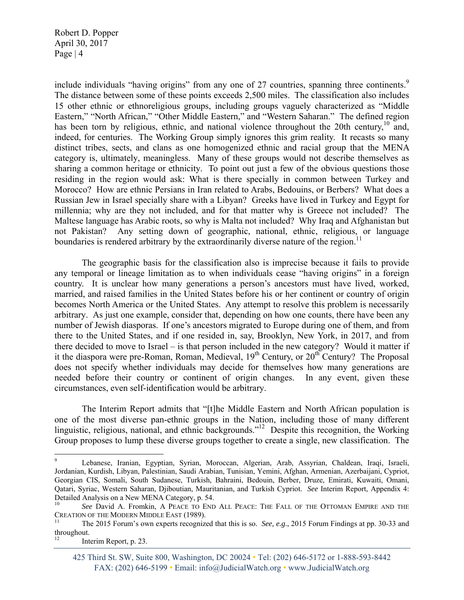include individuals "having origins" from any one of 27 countries, spanning three continents.<sup>9</sup> The distance between some of these points exceeds 2,500 miles. The classification also includes 15 other ethnic or ethnoreligious groups, including groups vaguely characterized as "Middle Eastern," "North African," "Other Middle Eastern," and "Western Saharan." The defined region has been torn by religious, ethnic, and national violence throughout the 20th century,  $10^{\circ}$  and, indeed, for centuries. The Working Group simply ignores this grim reality. It recasts so many distinct tribes, sects, and clans as one homogenized ethnic and racial group that the MENA category is, ultimately, meaningless. Many of these groups would not describe themselves as sharing a common heritage or ethnicity. To point out just a few of the obvious questions those residing in the region would ask: What is there specially in common between Turkey and Morocco? How are ethnic Persians in Iran related to Arabs, Bedouins, or Berbers? What does a Russian Jew in Israel specially share with a Libyan? Greeks have lived in Turkey and Egypt for millennia; why are they not included, and for that matter why is Greece not included? The Maltese language has Arabic roots, so why is Malta not included? Why Iraq and Afghanistan but not Pakistan? Any setting down of geographic, national, ethnic, religious, or language boundaries is rendered arbitrary by the extraordinarily diverse nature of the region.<sup>11</sup>

 The geographic basis for the classification also is imprecise because it fails to provide any temporal or lineage limitation as to when individuals cease "having origins" in a foreign country. It is unclear how many generations a person's ancestors must have lived, worked, married, and raised families in the United States before his or her continent or country of origin becomes North America or the United States. Any attempt to resolve this problem is necessarily arbitrary. As just one example, consider that, depending on how one counts, there have been any number of Jewish diasporas. If one's ancestors migrated to Europe during one of them, and from there to the United States, and if one resided in, say, Brooklyn, New York, in 2017, and from there decided to move to Israel – is that person included in the new category? Would it matter if it the diaspora were pre-Roman, Roman, Medieval,  $19<sup>th</sup>$  Century, or  $20<sup>th</sup>$  Century? The Proposal does not specify whether individuals may decide for themselves how many generations are needed before their country or continent of origin changes. In any event, given these circumstances, even self-identification would be arbitrary.

 The Interim Report admits that "[t]he Middle Eastern and North African population is one of the most diverse pan-ethnic groups in the Nation, including those of many different linguistic, religious, national, and ethnic backgrounds."12 Despite this recognition, the Working Group proposes to lump these diverse groups together to create a single, new classification. The

<sup>9</sup> Lebanese, Iranian, Egyptian, Syrian, Moroccan, Algerian, Arab, Assyrian, Chaldean, Iraqi, Israeli, Jordanian, Kurdish, Libyan, Palestinian, Saudi Arabian, Tunisian, Yemini, Afghan, Armenian, Azerbaijani, Cypriot, Georgian CIS, Somali, South Sudanese, Turkish, Bahraini, Bedouin, Berber, Druze, Emirati, Kuwaiti, Omani, Qatari, Syriac, Western Saharan, Djiboutian, Mauritanian, and Turkish Cypriot. *See* Interim Report, Appendix 4: Detailed Analysis on a New MENA Category, p. 54.

See David A. Fromkin, A PEACE TO END ALL PEACE: THE FALL OF THE OTTOMAN EMPIRE AND THE CREATION OF THE MODERN MIDDLE EAST (1989).<br><sup>11</sup> The 2015 Forum's own experts recognized that this is so. *See, e.g.*, 2015 Forum Findings at pp. 30-33 and

throughout.

Interim Report, p. 23.

<sup>425</sup> Third St. SW, Suite 800, Washington, DC 20024 • Tel: (202) 646-5172 or 1-888-593-8442 FAX: (202) 646-5199 • Email: info@JudicialWatch.org • www.JudicialWatch.org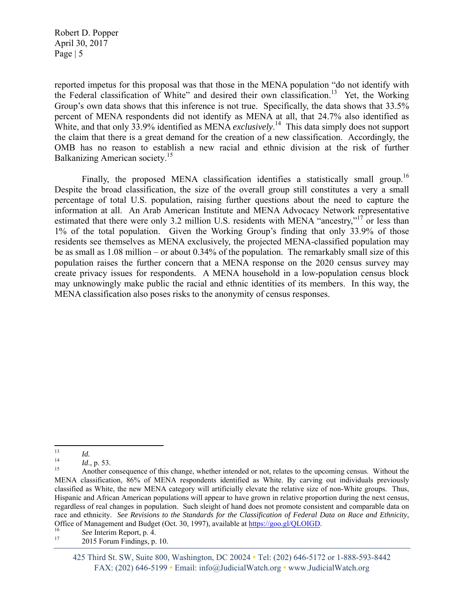reported impetus for this proposal was that those in the MENA population "do not identify with the Federal classification of White" and desired their own classification.<sup>13</sup> Yet, the Working Group's own data shows that this inference is not true. Specifically, the data shows that 33.5% percent of MENA respondents did not identify as MENA at all, that 24.7% also identified as White, and that only 33.9% identified as MENA *exclusively*. 14 This data simply does not support the claim that there is a great demand for the creation of a new classification. Accordingly, the OMB has no reason to establish a new racial and ethnic division at the risk of further Balkanizing American society.<sup>15</sup>

Finally, the proposed MENA classification identifies a statistically small group.<sup>16</sup> Despite the broad classification, the size of the overall group still constitutes a very a small percentage of total U.S. population, raising further questions about the need to capture the information at all. An Arab American Institute and MENA Advocacy Network representative estimated that there were only 3.2 million U.S. residents with MENA "ancestry,"<sup>17</sup> or less than 1% of the total population. Given the Working Group's finding that only 33.9% of those residents see themselves as MENA exclusively, the projected MENA-classified population may be as small as 1.08 million – or about 0.34% of the population. The remarkably small size of this population raises the further concern that a MENA response on the 2020 census survey may create privacy issues for respondents. A MENA household in a low-population census block may unknowingly make public the racial and ethnic identities of its members. In this way, the MENA classification also poses risks to the anonymity of census responses.

<sup>13&</sup>lt;br>14 *Id.*, p. 53.<br>15 **A** results

Another consequence of this change, whether intended or not, relates to the upcoming census. Without the MENA classification, 86% of MENA respondents identified as White. By carving out individuals previously classified as White, the new MENA category will artificially elevate the relative size of non-White groups. Thus, Hispanic and African American populations will appear to have grown in relative proportion during the next census, regardless of real changes in population. Such sleight of hand does not promote consistent and comparable data on race and ethnicity. *See Revisions to the Standards for the Classification of Federal Data on Race and Ethnicity*, Office of Management and Budget (Oct. 30, 1997), available at <u>https://goo.gl/QLOIGD.</u><br><sup>16</sup> *See* Interim Report, p. 4.<br><sup>17</sup> 2015 Forum Findings p. 10

<sup>2015</sup> Forum Findings, p. 10.